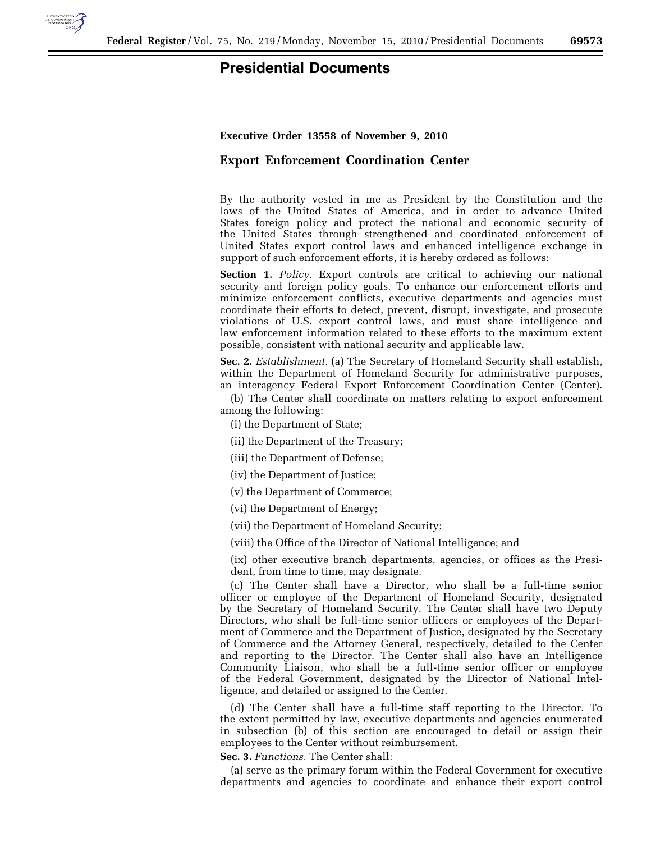

## **Presidential Documents**

## **Executive Order 13558 of November 9, 2010**

## **Export Enforcement Coordination Center**

By the authority vested in me as President by the Constitution and the laws of the United States of America, and in order to advance United States foreign policy and protect the national and economic security of the United States through strengthened and coordinated enforcement of United States export control laws and enhanced intelligence exchange in support of such enforcement efforts, it is hereby ordered as follows:

**Section 1.** *Policy.* Export controls are critical to achieving our national security and foreign policy goals. To enhance our enforcement efforts and minimize enforcement conflicts, executive departments and agencies must coordinate their efforts to detect, prevent, disrupt, investigate, and prosecute violations of U.S. export control laws, and must share intelligence and law enforcement information related to these efforts to the maximum extent possible, consistent with national security and applicable law.

**Sec. 2.** *Establishment.* (a) The Secretary of Homeland Security shall establish, within the Department of Homeland Security for administrative purposes, an interagency Federal Export Enforcement Coordination Center (Center).

(b) The Center shall coordinate on matters relating to export enforcement among the following:

(i) the Department of State;

(ii) the Department of the Treasury;

(iii) the Department of Defense;

(iv) the Department of Justice;

(v) the Department of Commerce;

(vi) the Department of Energy;

(vii) the Department of Homeland Security;

(viii) the Office of the Director of National Intelligence; and

(ix) other executive branch departments, agencies, or offices as the President, from time to time, may designate.

(c) The Center shall have a Director, who shall be a full-time senior officer or employee of the Department of Homeland Security, designated by the Secretary of Homeland Security. The Center shall have two Deputy Directors, who shall be full-time senior officers or employees of the Department of Commerce and the Department of Justice, designated by the Secretary of Commerce and the Attorney General, respectively, detailed to the Center and reporting to the Director. The Center shall also have an Intelligence Community Liaison, who shall be a full-time senior officer or employee of the Federal Government, designated by the Director of National Intelligence, and detailed or assigned to the Center.

(d) The Center shall have a full-time staff reporting to the Director. To the extent permitted by law, executive departments and agencies enumerated in subsection (b) of this section are encouraged to detail or assign their employees to the Center without reimbursement.

**Sec. 3.** *Functions.* The Center shall:

(a) serve as the primary forum within the Federal Government for executive departments and agencies to coordinate and enhance their export control